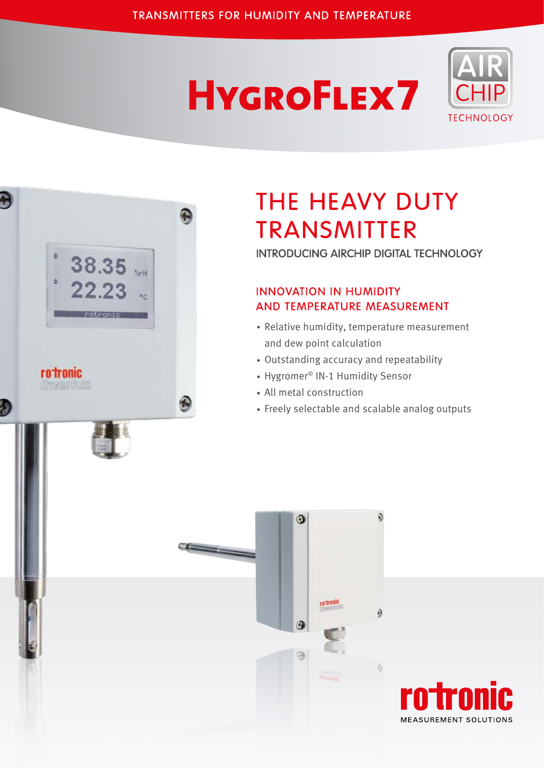# **HYGROFLEX7**





# THE HEAVY DUTY transmitter

INTRODUCING AIRCHIP DIGITAL TECHNOLOGY

#### INNOVATION IN HUMIDITY AND TEMPERATURE MEASUREMENT

- Relative humidity, temperature measurement and dew point calculation
- Outstanding accuracy and repeatability
- Hygromer® IN-1 Humidity Sensor
- All metal construction
- Freely selectable and scalable analog outputs



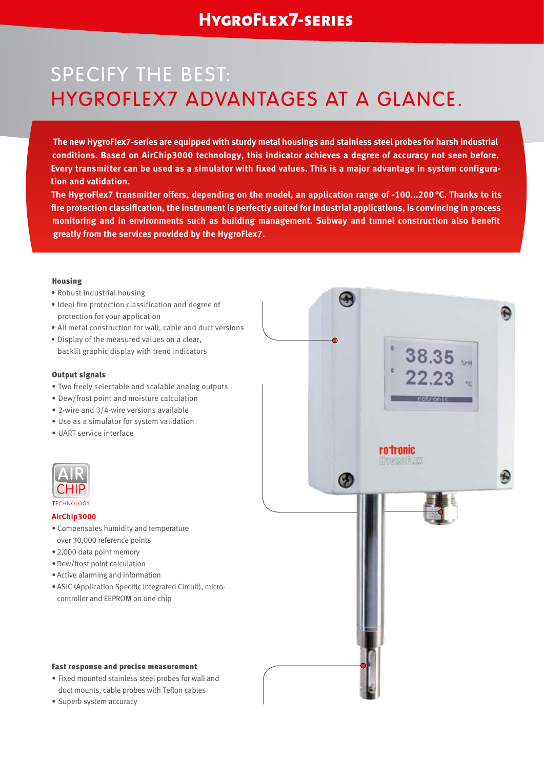# SPECIFY THE BEST: HYGROFLEX7 ADVANTAGES AT A GLANCE.

**The new HygroFlex7-series are equipped with sturdy metal housings and stainless steel probes for harsh industrial conditions. Based on AirChip3000 technology, this indicator achieves a degree of accuracy not seen before. Every transmitter can be used as a simulator with fixed values. This is a major advantage in system configuration and validation.**

**The HygroFlex7 transmitter offers, depending on the model, an application range of -100...200 °C. Thanks to its fire protection classification, the instrument is perfectly suited for industrial applications, is convincing in process monitoring and in environments such as building management. Subway and tunnel construction also benefit greatly from the services provided by the HygroFlex7.**

#### Housing

- Robust industrial housing
- Ideal fire protection classification and degree of protection for your application
- All metal construction for wall, cable and duct versions
- • Display of the measured values on a clear, backlit graphic display with trend indicators

#### Output signals

- Two freely selectable and scalable analog outputs
- • Dew/frost point and moisture calculation
- 2-wire and 3/4-wire versions available
- • Use as a simulator for system validation
- • UART service interface



**TECHNOLOGY** 

#### **AirChip3000**

- Compensates humidity and temperature over 30,000 reference points
- • 2,000 data point memory
- • Dew/frost point calculation
- • Active alarming and information
- ASIC (Application Specific Integrated Circuit), microcontroller and EEPROM on one chip



#### Fast response and precise measurement

- • Fixed mounted stainless steel probes for wall and duct mounts, cable probes with Teflon cables
- Superb system accuracy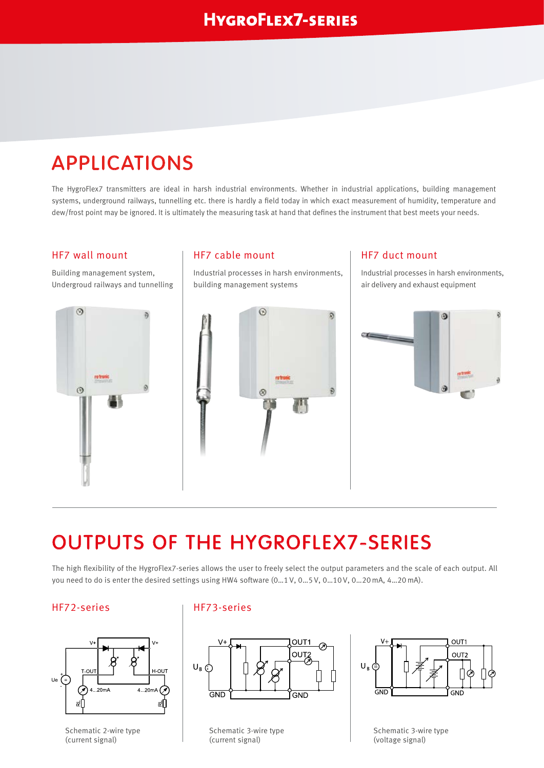## APPLICATIONS

The HygroFlex7 transmitters are ideal in harsh industrial environments. Whether in industrial applications, building management systems, underground railways, tunnelling etc. there is hardly a field today in which exact measurement of humidity, temperature and dew/frost point may be ignored. It is ultimately the measuring task at hand that defines the instrument that best meets your needs.

#### HF7 wall mount

Building management system, Undergroud railways and tunnelling



#### HF7 cable mount

Industrial processes in harsh environments, building management systems



#### HF7 duct mount

Industrial processes in harsh environments, air delivery and exhaust equipment



### OUTPUTS OF THE HYGROFLEX7-SERIES

The high flexibility of the HygroFlex7-series allows the user to freely select the output parameters and the scale of each output. All you need to do is enter the desired settings using HW4 software (0…1 V, 0…5 V, 0…10 V, 0…20 mA, 4…20 mA).

#### HF72-series



Schematic 2-wire type (current signal)

#### HF73-series





Schematic 3-wire type (current signal)

Schematic 3-wire type (voltage signal)